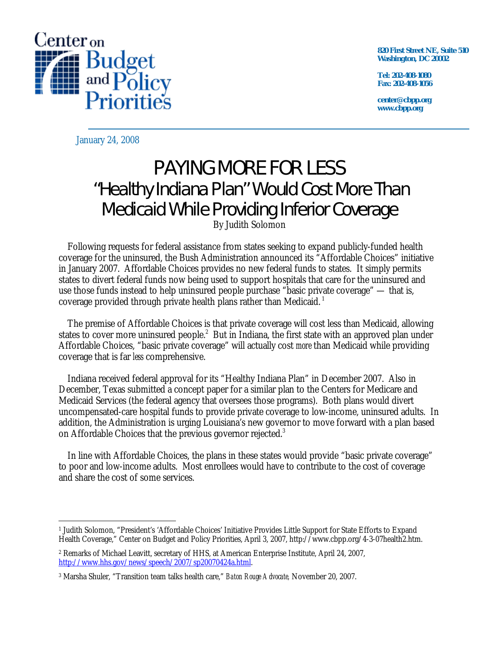

**820 First Street NE, Suite 510 Washington, DC 20002** 

**Tel: 202-408-1080 Fax: 202-408-1056** 

**center@cbpp.org www.cbpp.org** 

January 24, 2008

# PAYING MORE FOR LESS "Healthy Indiana Plan" Would Cost More Than Medicaid While Providing Inferior Coverage

By Judith Solomon

 Following requests for federal assistance from states seeking to expand publicly-funded health coverage for the uninsured, the Bush Administration announced its "Affordable Choices" initiative in January 2007. Affordable Choices provides no new federal funds to states. It simply permits states to divert federal funds now being used to support hospitals that care for the uninsured and use those funds instead to help uninsured people purchase "basic private coverage" — that is, coverage provided through private health plans rather than Medicaid. 1

 The premise of Affordable Choices is that private coverage will cost less than Medicaid, allowing states to cover more uninsured people.<sup>2</sup> But in Indiana, the first state with an approved plan under Affordable Choices, "basic private coverage" will actually cost *more* than Medicaid while providing coverage that is far *less* comprehensive.

 Indiana received federal approval for its "Healthy Indiana Plan" in December 2007. Also in December, Texas submitted a concept paper for a similar plan to the Centers for Medicare and Medicaid Services (the federal agency that oversees those programs). Both plans would divert uncompensated-care hospital funds to provide private coverage to low-income, uninsured adults. In addition, the Administration is urging Louisiana's new governor to move forward with a plan based on Affordable Choices that the previous governor rejected.<sup>3</sup>

 In line with Affordable Choices, the plans in these states would provide "basic private coverage" to poor and low-income adults. Most enrollees would have to contribute to the cost of coverage and share the cost of some services.

 $\overline{a}$ 1 Judith Solomon, "President's 'Affordable Choices' Initiative Provides Little Support for State Efforts to Expand Health Coverage," Center on Budget and Policy Priorities, April 3, 2007, http://www.cbpp.org/4-3-07health2.htm.

<sup>2</sup> Remarks of Michael Leavitt, secretary of HHS, at American Enterprise Institute, April 24, 2007, http://www.hhs.gov/news/speech/2007/sp20070424a.html.

<sup>3</sup> Marsha Shuler, "Transition team talks health care," *Baton Rouge Advocate,* November 20, 2007.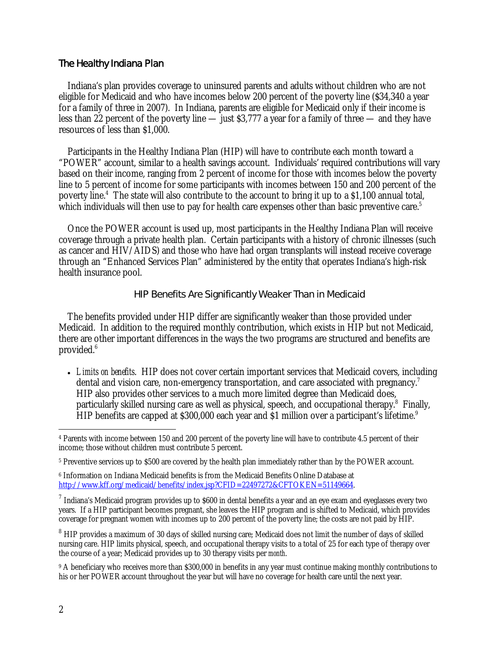### The Healthy Indiana Plan

 Indiana's plan provides coverage to uninsured parents and adults without children who are not eligible for Medicaid and who have incomes below 200 percent of the poverty line (\$34,340 a year for a family of three in 2007). In Indiana, parents are eligible for Medicaid only if their income is less than 22 percent of the poverty line — just \$3,777 a year for a family of three — and they have resources of less than \$1,000.

 Participants in the Healthy Indiana Plan (HIP) will have to contribute each month toward a "POWER" account, similar to a health savings account. Individuals' required contributions will vary based on their income, ranging from 2 percent of income for those with incomes below the poverty line to 5 percent of income for some participants with incomes between 150 and 200 percent of the poverty line.<sup>4</sup> The state will also contribute to the account to bring it up to a \$1,100 annual total, which individuals will then use to pay for health care expenses other than basic preventive care. $5$ 

 Once the POWER account is used up, most participants in the Healthy Indiana Plan will receive coverage through a private health plan. Certain participants with a history of chronic illnesses (such as cancer and HIV/AIDS) and those who have had organ transplants will instead receive coverage through an "Enhanced Services Plan" administered by the entity that operates Indiana's high-risk health insurance pool.

#### HIP Benefits Are Significantly Weaker Than in Medicaid

 The benefits provided under HIP differ are significantly weaker than those provided under Medicaid. In addition to the required monthly contribution, which exists in HIP but not Medicaid, there are other important differences in the ways the two programs are structured and benefits are provided.<sup>6</sup>

• *Limits on benefits*. HIP does not cover certain important services that Medicaid covers, including dental and vision care, non-emergency transportation, and care associated with pregnancy.<sup>7</sup> HIP also provides other services to a much more limited degree than Medicaid does, particularly skilled nursing care as well as physical, speech, and occupational therapy.<sup>8</sup> Finally, HIP benefits are capped at \$300,000 each year and \$1 million over a participant's lifetime.<sup>9</sup>

<sup>-</sup>4 Parents with income between 150 and 200 percent of the poverty line will have to contribute 4.5 percent of their income; those without children must contribute 5 percent.

<sup>5</sup> Preventive services up to \$500 are covered by the health plan immediately rather than by the POWER account.

<sup>6</sup> Information on Indiana Medicaid benefits is from the Medicaid Benefits Online Database at http://www.kff.org/medicaid/benefits/index.jsp?CFID=22497272&CFTOKEN=51149664.

 $7$  Indiana's Medicaid program provides up to \$600 in dental benefits a year and an eye exam and eyeglasses every two years. If a HIP participant becomes pregnant, she leaves the HIP program and is shifted to Medicaid, which provides coverage for pregnant women with incomes up to 200 percent of the poverty line; the costs are not paid by HIP.

<sup>&</sup>lt;sup>8</sup> HIP provides a maximum of 30 days of skilled nursing care; Medicaid does not limit the number of days of skilled nursing care. HIP limits physical, speech, and occupational therapy visits to a total of 25 for each type of therapy over the course of a year; Medicaid provides up to 30 therapy visits per *month*.

<sup>&</sup>lt;sup>9</sup> A beneficiary who receives more than \$300,000 in benefits in any year must continue making monthly contributions to his or her POWER account throughout the year but will have no coverage for health care until the next year.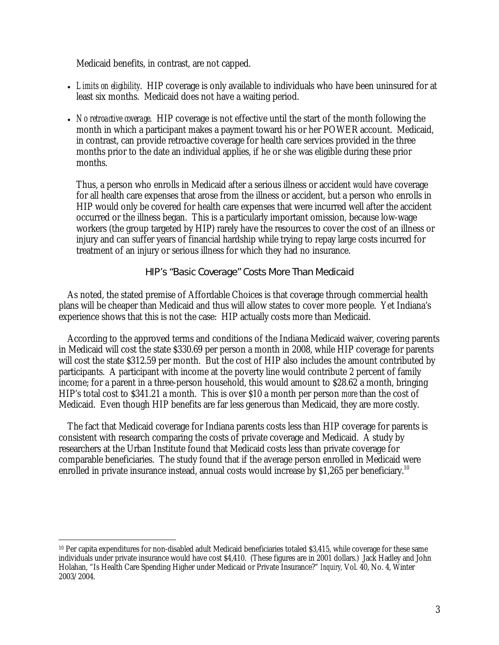Medicaid benefits, in contrast, are not capped.

- *Limits on eligibility*. HIP coverage is only available to individuals who have been uninsured for at least six months. Medicaid does not have a waiting period.
- *No retroactive coverage*. HIP coverage is not effective until the start of the month following the month in which a participant makes a payment toward his or her POWER account. Medicaid, in contrast, can provide retroactive coverage for health care services provided in the three months prior to the date an individual applies, if he or she was eligible during these prior months.

Thus, a person who enrolls in Medicaid after a serious illness or accident *would* have coverage for all health care expenses that arose from the illness or accident, but a person who enrolls in HIP would only be covered for health care expenses that were incurred well after the accident occurred or the illness began. This is a particularly important omission, because low-wage workers (the group targeted by HIP) rarely have the resources to cover the cost of an illness or injury and can suffer years of financial hardship while trying to repay large costs incurred for treatment of an injury or serious illness for which they had no insurance.

### HIP's "Basic Coverage" Costs More Than Medicaid

 As noted, the stated premise of Affordable Choices is that coverage through commercial health plans will be cheaper than Medicaid and thus will allow states to cover more people. Yet Indiana's experience shows that this is not the case: HIP actually costs more than Medicaid.

 According to the approved terms and conditions of the Indiana Medicaid waiver, covering parents in Medicaid will cost the state \$330.69 per person a month in 2008, while HIP coverage for parents will cost the state \$312.59 per month. But the cost of HIP also includes the amount contributed by participants. A participant with income at the poverty line would contribute 2 percent of family income; for a parent in a three-person household, this would amount to \$28.62 a month, bringing HIP's total cost to \$341.21 a month. This is over \$10 a month per person *more* than the cost of Medicaid. Even though HIP benefits are far less generous than Medicaid, they are more costly.

 The fact that Medicaid coverage for Indiana parents costs less than HIP coverage for parents is consistent with research comparing the costs of private coverage and Medicaid. A study by researchers at the Urban Institute found that Medicaid costs less than private coverage for comparable beneficiaries. The study found that if the average person enrolled in Medicaid were enrolled in private insurance instead, annual costs would increase by \$1,265 per beneficiary.<sup>10</sup>

 $\overline{a}$ 10 Per capita expenditures for non-disabled adult Medicaid beneficiaries totaled \$3,415, while coverage for these same individuals under private insurance would have cost \$4,410. (These figures are in 2001 dollars.) Jack Hadley and John Holahan, "Is Health Care Spending Higher under Medicaid or Private Insurance?" *Inquiry,* Vol. 40, No. 4, Winter 2003/2004.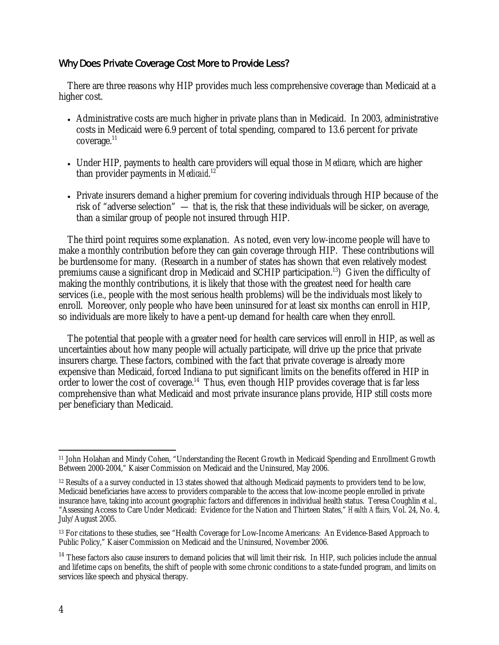## Why Does Private Coverage Cost More to Provide Less?

 There are three reasons why HIP provides much less comprehensive coverage than Medicaid at a higher cost.

- Administrative costs are much higher in private plans than in Medicaid. In 2003, administrative costs in Medicaid were 6.9 percent of total spending, compared to 13.6 percent for private  $coverage.<sup>11</sup>$
- Under HIP, payments to health care providers will equal those in *Medicare*, which are higher than provider payments in *Medicaid*. 12
- Private insurers demand a higher premium for covering individuals through HIP because of the risk of "adverse selection" — that is, the risk that these individuals will be sicker, on average, than a similar group of people not insured through HIP.

The third point requires some explanation. As noted, even very low-income people will have to make a monthly contribution before they can gain coverage through HIP. These contributions will be burdensome for many. (Research in a number of states has shown that even relatively modest premiums cause a significant drop in Medicaid and SCHIP participation.<sup>13</sup>) Given the difficulty of making the monthly contributions, it is likely that those with the greatest need for health care services (i.e., people with the most serious health problems) will be the individuals most likely to enroll. Moreover, only people who have been uninsured for at least six months can enroll in HIP, so individuals are more likely to have a pent-up demand for health care when they enroll.

The potential that people with a greater need for health care services will enroll in HIP, as well as uncertainties about how many people will actually participate, will drive up the price that private insurers charge. These factors, combined with the fact that private coverage is already more expensive than Medicaid, forced Indiana to put significant limits on the benefits offered in HIP in order to lower the cost of coverage.14 Thus, even though HIP provides coverage that is far less comprehensive than what Medicaid and most private insurance plans provide, HIP still costs more per beneficiary than Medicaid.

 $\overline{a}$ 11 John Holahan and Mindy Cohen, "Understanding the Recent Growth in Medicaid Spending and Enrollment Growth Between 2000-2004," Kaiser Commission on Medicaid and the Uninsured, May 2006.

<sup>&</sup>lt;sup>12</sup> Results of a a survey conducted in 13 states showed that although Medicaid payments to providers tend to be low, Medicaid beneficiaries have access to providers comparable to the access that low-income people enrolled in private insurance have, taking into account geographic factors and differences in individual health status. Teresa Coughlin *et al.,* "Assessing Access to Care Under Medicaid: Evidence for the Nation and Thirteen States," *Health Affairs,* Vol. 24, No. 4, July/August 2005.

<sup>13</sup> For citations to these studies, see "Health Coverage for Low-Income Americans: An Evidence-Based Approach to Public Policy," Kaiser Commission on Medicaid and the Uninsured, November 2006.

<sup>&</sup>lt;sup>14</sup> These factors also cause insurers to demand policies that will limit their risk. In HIP, such policies include the annual and lifetime caps on benefits, the shift of people with some chronic conditions to a state-funded program, and limits on services like speech and physical therapy.